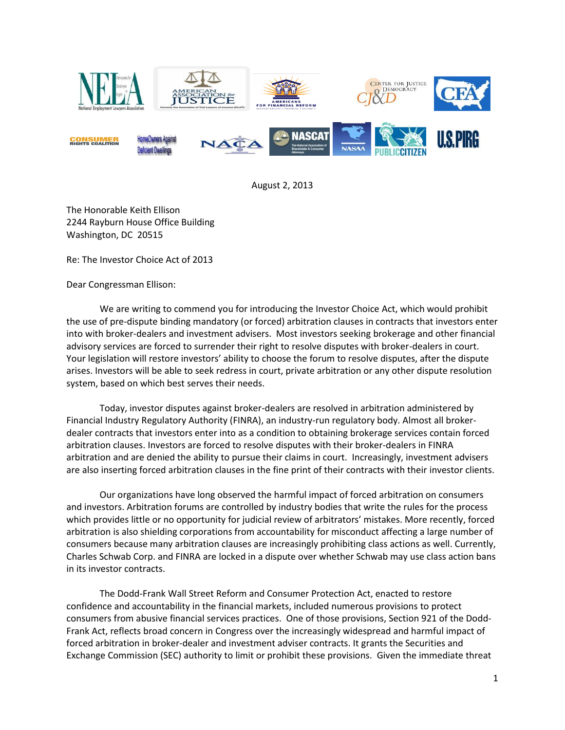

August 2, 2013

The Honorable Keith Ellison 2244 Rayburn House Office Building Washington, DC 20515

Re: The Investor Choice Act of 2013

Dear Congressman Ellison:

We are writing to commend you for introducing the Investor Choice Act, which would prohibit the use of pre-dispute binding mandatory (or forced) arbitration clauses in contracts that investors enter into with broker-dealers and investment advisers. Most investors seeking brokerage and other financial advisory services are forced to surrender their right to resolve disputes with broker-dealers in court. Your legislation will restore investors' ability to choose the forum to resolve disputes, after the dispute arises. Investors will be able to seek redress in court, private arbitration or any other dispute resolution system, based on which best serves their needs.

Today, investor disputes against broker-dealers are resolved in arbitration administered by Financial Industry Regulatory Authority (FINRA), an industry-run regulatory body. Almost all brokerdealer contracts that investors enter into as a condition to obtaining brokerage services contain forced arbitration clauses. Investors are forced to resolve disputes with their broker-dealers in FINRA arbitration and are denied the ability to pursue their claims in court. Increasingly, investment advisers are also inserting forced arbitration clauses in the fine print of their contracts with their investor clients.

Our organizations have long observed the harmful impact of forced arbitration on consumers and investors. Arbitration forums are controlled by industry bodies that write the rules for the process which provides little or no opportunity for judicial review of arbitrators' mistakes. More recently, forced arbitration is also shielding corporations from accountability for misconduct affecting a large number of consumers because many arbitration clauses are increasingly prohibiting class actions as well. Currently, Charles Schwab Corp. and FINRA are locked in a dispute over whether Schwab may use class action bans in its investor contracts.

The Dodd-Frank Wall Street Reform and Consumer Protection Act, enacted to restore confidence and accountability in the financial markets, included numerous provisions to protect consumers from abusive financial services practices. One of those provisions, Section 921 of the Dodd-Frank Act, reflects broad concern in Congress over the increasingly widespread and harmful impact of forced arbitration in broker-dealer and investment adviser contracts. It grants the Securities and Exchange Commission (SEC) authority to limit or prohibit these provisions. Given the immediate threat